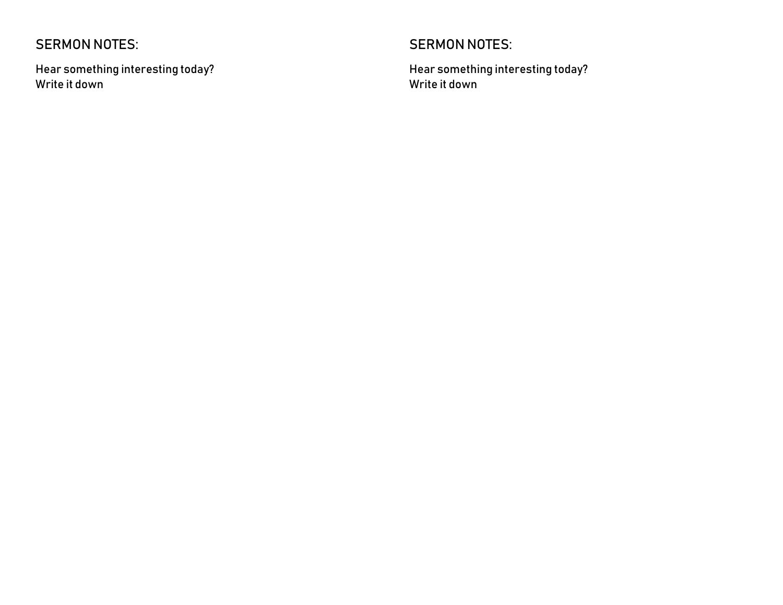## SERMON NOTES:

Hear something interesting today? Write it down

## SERMON NOTES:

Hear something interesting today? Write it down